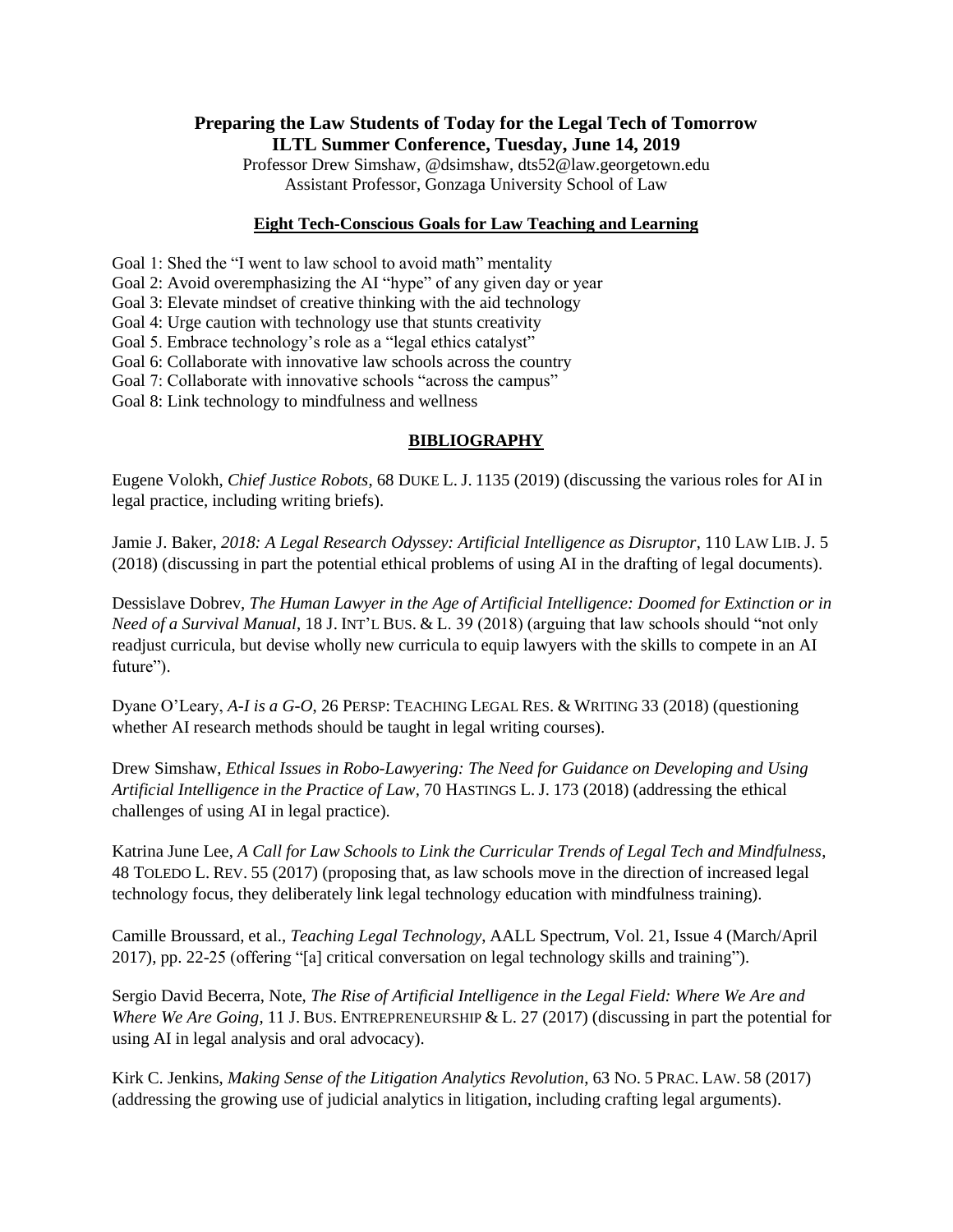# **Preparing the Law Students of Today for the Legal Tech of Tomorrow ILTL Summer Conference, Tuesday, June 14, 2019**

Professor Drew Simshaw, @dsimshaw, dts52@law.georgetown.edu Assistant Professor, Gonzaga University School of Law

### **Eight Tech-Conscious Goals for Law Teaching and Learning**

Goal 1: Shed the "I went to law school to avoid math" mentality

Goal 2: Avoid overemphasizing the AI "hype" of any given day or year

Goal 3: Elevate mindset of creative thinking with the aid technology

Goal 4: Urge caution with technology use that stunts creativity

Goal 5. Embrace technology's role as a "legal ethics catalyst"

Goal 6: Collaborate with innovative law schools across the country

Goal 7: Collaborate with innovative schools "across the campus"

Goal 8: Link technology to mindfulness and wellness

### **BIBLIOGRAPHY**

Eugene Volokh, *Chief Justice Robots*, 68 DUKE L. J. 1135 (2019) (discussing the various roles for AI in legal practice, including writing briefs).

Jamie J. Baker, *2018: A Legal Research Odyssey: Artificial Intelligence as Disruptor*, 110 LAW LIB. J. 5 (2018) (discussing in part the potential ethical problems of using AI in the drafting of legal documents).

Dessislave Dobrev, *The Human Lawyer in the Age of Artificial Intelligence: Doomed for Extinction or in Need of a Survival Manual*, 18 J. INT'L BUS. & L. 39 (2018) (arguing that law schools should "not only readjust curricula, but devise wholly new curricula to equip lawyers with the skills to compete in an AI future").

Dyane O'Leary, *A-I is a G-O*, 26 PERSP: TEACHING LEGAL RES. & WRITING 33 (2018) (questioning whether AI research methods should be taught in legal writing courses).

Drew Simshaw, *Ethical Issues in Robo-Lawyering: The Need for Guidance on Developing and Using Artificial Intelligence in the Practice of Law*, 70 HASTINGS L. J. 173 (2018) (addressing the ethical challenges of using AI in legal practice).

Katrina June Lee, *A Call for Law Schools to Link the Curricular Trends of Legal Tech and Mindfulness*, 48 TOLEDO L. REV. 55 (2017) (proposing that, as law schools move in the direction of increased legal technology focus, they deliberately link legal technology education with mindfulness training).

Camille Broussard, et al., *Teaching Legal Technology*, AALL Spectrum, Vol. 21, Issue 4 (March/April 2017), pp. 22-25 (offering "[a] critical conversation on legal technology skills and training").

Sergio David Becerra, Note, *The Rise of Artificial Intelligence in the Legal Field: Where We Are and Where We Are Going*, 11 J. BUS. ENTREPRENEURSHIP & L. 27 (2017) (discussing in part the potential for using AI in legal analysis and oral advocacy).

Kirk C. Jenkins, *Making Sense of the Litigation Analytics Revolution*, 63 NO. 5 PRAC. LAW. 58 (2017) (addressing the growing use of judicial analytics in litigation, including crafting legal arguments).